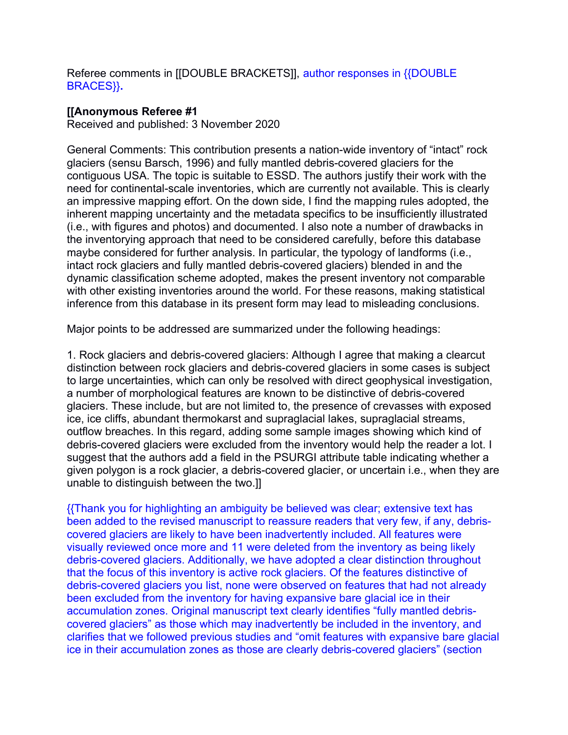Referee comments in [[DOUBLE BRACKETS]], author responses in {{DOUBLE BRACES}}**.**

## **[[Anonymous Referee #1**

Received and published: 3 November 2020

General Comments: This contribution presents a nation-wide inventory of "intact" rock glaciers (sensu Barsch, 1996) and fully mantled debris-covered glaciers for the contiguous USA. The topic is suitable to ESSD. The authors justify their work with the need for continental-scale inventories, which are currently not available. This is clearly an impressive mapping effort. On the down side, I find the mapping rules adopted, the inherent mapping uncertainty and the metadata specifics to be insufficiently illustrated (i.e., with figures and photos) and documented. I also note a number of drawbacks in the inventorying approach that need to be considered carefully, before this database maybe considered for further analysis. In particular, the typology of landforms (i.e., intact rock glaciers and fully mantled debris-covered glaciers) blended in and the dynamic classification scheme adopted, makes the present inventory not comparable with other existing inventories around the world. For these reasons, making statistical inference from this database in its present form may lead to misleading conclusions.

Major points to be addressed are summarized under the following headings:

1. Rock glaciers and debris-covered glaciers: Although I agree that making a clearcut distinction between rock glaciers and debris-covered glaciers in some cases is subject to large uncertainties, which can only be resolved with direct geophysical investigation, a number of morphological features are known to be distinctive of debris-covered glaciers. These include, but are not limited to, the presence of crevasses with exposed ice, ice cliffs, abundant thermokarst and supraglacial lakes, supraglacial streams, outflow breaches. In this regard, adding some sample images showing which kind of debris-covered glaciers were excluded from the inventory would help the reader a lot. I suggest that the authors add a field in the PSURGI attribute table indicating whether a given polygon is a rock glacier, a debris-covered glacier, or uncertain i.e., when they are unable to distinguish between the two.]]

{{Thank you for highlighting an ambiguity be believed was clear; extensive text has been added to the revised manuscript to reassure readers that very few, if any, debriscovered glaciers are likely to have been inadvertently included. All features were visually reviewed once more and 11 were deleted from the inventory as being likely debris-covered glaciers. Additionally, we have adopted a clear distinction throughout that the focus of this inventory is active rock glaciers. Of the features distinctive of debris-covered glaciers you list, none were observed on features that had not already been excluded from the inventory for having expansive bare glacial ice in their accumulation zones. Original manuscript text clearly identifies "fully mantled debriscovered glaciers" as those which may inadvertently be included in the inventory, and clarifies that we followed previous studies and "omit features with expansive bare glacial ice in their accumulation zones as those are clearly debris-covered glaciers" (section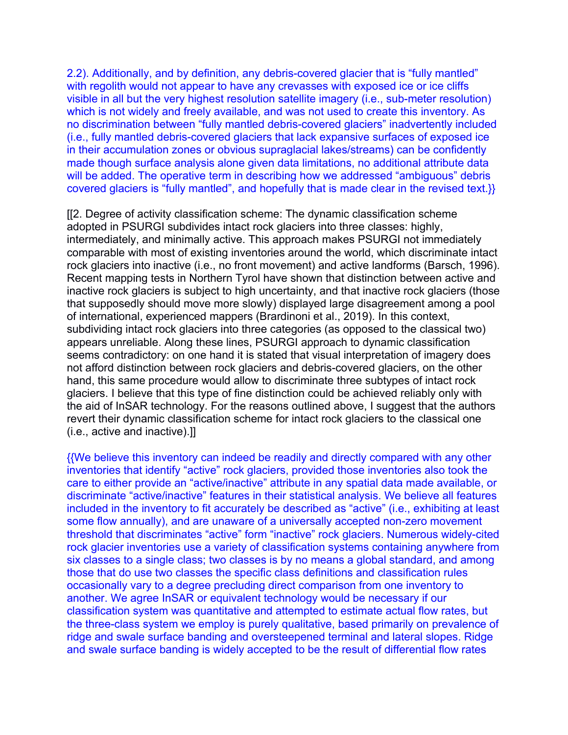2.2). Additionally, and by definition, any debris-covered glacier that is "fully mantled" with regolith would not appear to have any crevasses with exposed ice or ice cliffs visible in all but the very highest resolution satellite imagery (i.e., sub-meter resolution) which is not widely and freely available, and was not used to create this inventory. As no discrimination between "fully mantled debris-covered glaciers" inadvertently included (i.e., fully mantled debris-covered glaciers that lack expansive surfaces of exposed ice in their accumulation zones or obvious supraglacial lakes/streams) can be confidently made though surface analysis alone given data limitations, no additional attribute data will be added. The operative term in describing how we addressed "ambiguous" debris covered glaciers is "fully mantled", and hopefully that is made clear in the revised text.}}

[[2. Degree of activity classification scheme: The dynamic classification scheme adopted in PSURGI subdivides intact rock glaciers into three classes: highly, intermediately, and minimally active. This approach makes PSURGI not immediately comparable with most of existing inventories around the world, which discriminate intact rock glaciers into inactive (i.e., no front movement) and active landforms (Barsch, 1996). Recent mapping tests in Northern Tyrol have shown that distinction between active and inactive rock glaciers is subject to high uncertainty, and that inactive rock glaciers (those that supposedly should move more slowly) displayed large disagreement among a pool of international, experienced mappers (Brardinoni et al., 2019). In this context, subdividing intact rock glaciers into three categories (as opposed to the classical two) appears unreliable. Along these lines, PSURGI approach to dynamic classification seems contradictory: on one hand it is stated that visual interpretation of imagery does not afford distinction between rock glaciers and debris-covered glaciers, on the other hand, this same procedure would allow to discriminate three subtypes of intact rock glaciers. I believe that this type of fine distinction could be achieved reliably only with the aid of InSAR technology. For the reasons outlined above, I suggest that the authors revert their dynamic classification scheme for intact rock glaciers to the classical one (i.e., active and inactive).]]

{{We believe this inventory can indeed be readily and directly compared with any other inventories that identify "active" rock glaciers, provided those inventories also took the care to either provide an "active/inactive" attribute in any spatial data made available, or discriminate "active/inactive" features in their statistical analysis. We believe all features included in the inventory to fit accurately be described as "active" (i.e., exhibiting at least some flow annually), and are unaware of a universally accepted non-zero movement threshold that discriminates "active" form "inactive" rock glaciers. Numerous widely-cited rock glacier inventories use a variety of classification systems containing anywhere from six classes to a single class; two classes is by no means a global standard, and among those that do use two classes the specific class definitions and classification rules occasionally vary to a degree precluding direct comparison from one inventory to another. We agree InSAR or equivalent technology would be necessary if our classification system was quantitative and attempted to estimate actual flow rates, but the three-class system we employ is purely qualitative, based primarily on prevalence of ridge and swale surface banding and oversteepened terminal and lateral slopes. Ridge and swale surface banding is widely accepted to be the result of differential flow rates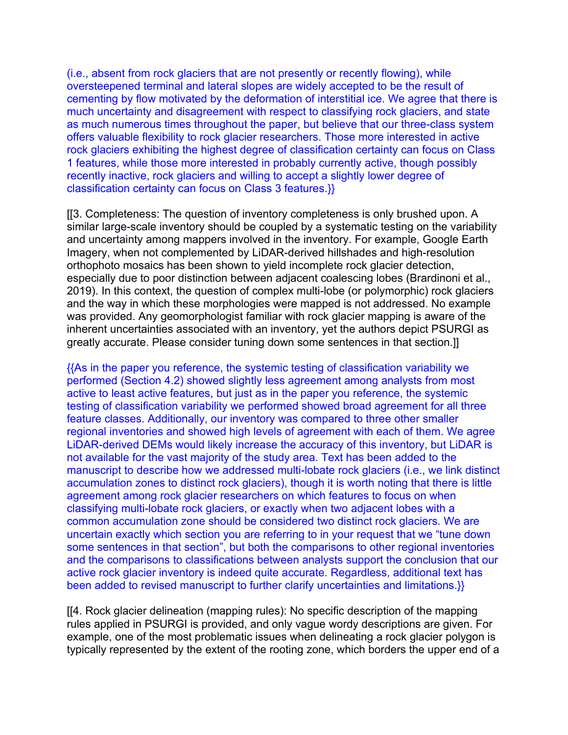(i.e., absent from rock glaciers that are not presently or recently flowing), while oversteepened terminal and lateral slopes are widely accepted to be the result of cementing by flow motivated by the deformation of interstitial ice. We agree that there is much uncertainty and disagreement with respect to classifying rock glaciers, and state as much numerous times throughout the paper, but believe that our three-class system offers valuable flexibility to rock glacier researchers. Those more interested in active rock glaciers exhibiting the highest degree of classification certainty can focus on Class 1 features, while those more interested in probably currently active, though possibly recently inactive, rock glaciers and willing to accept a slightly lower degree of classification certainty can focus on Class 3 features.}}

[[3. Completeness: The question of inventory completeness is only brushed upon. A similar large-scale inventory should be coupled by a systematic testing on the variability and uncertainty among mappers involved in the inventory. For example, Google Earth Imagery, when not complemented by LiDAR-derived hillshades and high-resolution orthophoto mosaics has been shown to yield incomplete rock glacier detection, especially due to poor distinction between adjacent coalescing lobes (Brardinoni et al., 2019). In this context, the question of complex multi-lobe (or polymorphic) rock glaciers and the way in which these morphologies were mapped is not addressed. No example was provided. Any geomorphologist familiar with rock glacier mapping is aware of the inherent uncertainties associated with an inventory, yet the authors depict PSURGI as greatly accurate. Please consider tuning down some sentences in that section.]]

{{As in the paper you reference, the systemic testing of classification variability we performed (Section 4.2) showed slightly less agreement among analysts from most active to least active features, but just as in the paper you reference, the systemic testing of classification variability we performed showed broad agreement for all three feature classes. Additionally, our inventory was compared to three other smaller regional inventories and showed high levels of agreement with each of them. We agree LiDAR-derived DEMs would likely increase the accuracy of this inventory, but LiDAR is not available for the vast majority of the study area. Text has been added to the manuscript to describe how we addressed multi-lobate rock glaciers (i.e., we link distinct accumulation zones to distinct rock glaciers), though it is worth noting that there is little agreement among rock glacier researchers on which features to focus on when classifying multi-lobate rock glaciers, or exactly when two adjacent lobes with a common accumulation zone should be considered two distinct rock glaciers. We are uncertain exactly which section you are referring to in your request that we "tune down some sentences in that section", but both the comparisons to other regional inventories and the comparisons to classifications between analysts support the conclusion that our active rock glacier inventory is indeed quite accurate. Regardless, additional text has been added to revised manuscript to further clarify uncertainties and limitations.}}

[[4. Rock glacier delineation (mapping rules): No specific description of the mapping rules applied in PSURGI is provided, and only vague wordy descriptions are given. For example, one of the most problematic issues when delineating a rock glacier polygon is typically represented by the extent of the rooting zone, which borders the upper end of a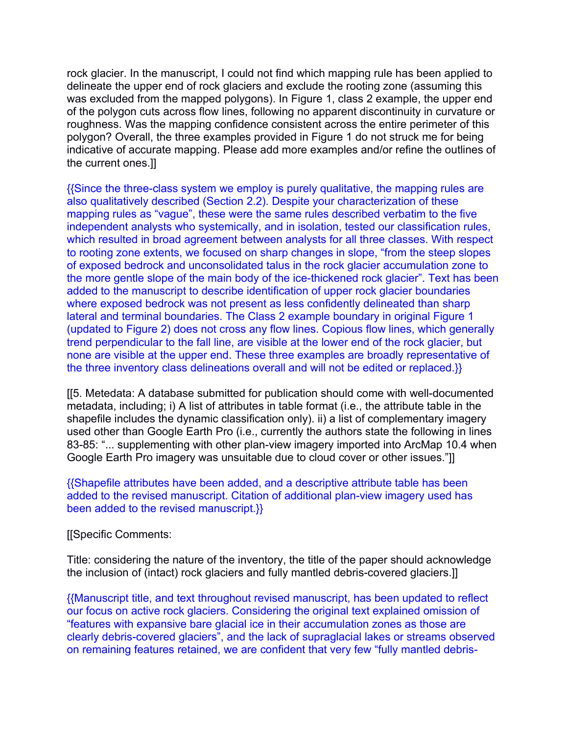rock glacier. In the manuscript, I could not find which mapping rule has been applied to delineate the upper end of rock glaciers and exclude the rooting zone (assuming this was excluded from the mapped polygons). In Figure 1, class 2 example, the upper end of the polygon cuts across flow lines, following no apparent discontinuity in curvature or roughness. Was the mapping confidence consistent across the entire perimeter of this polygon? Overall, the three examples provided in Figure 1 do not struck me for being indicative of accurate mapping. Please add more examples and/or refine the outlines of the current ones.]]

{{Since the three-class system we employ is purely qualitative, the mapping rules are also qualitatively described (Section 2.2). Despite your characterization of these mapping rules as "vague", these were the same rules described verbatim to the five independent analysts who systemically, and in isolation, tested our classification rules, which resulted in broad agreement between analysts for all three classes. With respect to rooting zone extents, we focused on sharp changes in slope, "from the steep slopes of exposed bedrock and unconsolidated talus in the rock glacier accumulation zone to the more gentle slope of the main body of the ice-thickened rock glacier". Text has been added to the manuscript to describe identification of upper rock glacier boundaries where exposed bedrock was not present as less confidently delineated than sharp lateral and terminal boundaries. The Class 2 example boundary in original Figure 1 (updated to Figure 2) does not cross any flow lines. Copious flow lines, which generally trend perpendicular to the fall line, are visible at the lower end of the rock glacier, but none are visible at the upper end. These three examples are broadly representative of the three inventory class delineations overall and will not be edited or replaced.}}

[[5. Metedata: A database submitted for publication should come with well-documented metadata, including; i) A list of attributes in table format (i.e., the attribute table in the shapefile includes the dynamic classification only). ii) a list of complementary imagery used other than Google Earth Pro (i.e., currently the authors state the following in lines 83-85: "... supplementing with other plan-view imagery imported into ArcMap 10.4 when Google Earth Pro imagery was unsuitable due to cloud cover or other issues."]]

### {{Shapefile attributes have been added, and a descriptive attribute table has been added to the revised manuscript. Citation of additional plan-view imagery used has been added to the revised manuscript.}}

[[Specific Comments:

Title: considering the nature of the inventory, the title of the paper should acknowledge the inclusion of (intact) rock glaciers and fully mantled debris-covered glaciers.]]

{{Manuscript title, and text throughout revised manuscript, has been updated to reflect our focus on active rock glaciers. Considering the original text explained omission of "features with expansive bare glacial ice in their accumulation zones as those are clearly debris-covered glaciers", and the lack of supraglacial lakes or streams observed on remaining features retained, we are confident that very few "fully mantled debris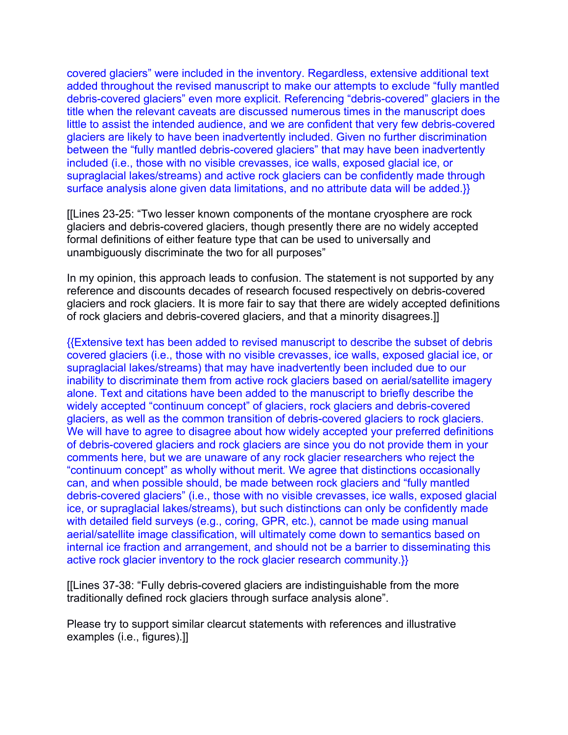covered glaciers" were included in the inventory. Regardless, extensive additional text added throughout the revised manuscript to make our attempts to exclude "fully mantled debris-covered glaciers" even more explicit. Referencing "debris-covered" glaciers in the title when the relevant caveats are discussed numerous times in the manuscript does little to assist the intended audience, and we are confident that very few debris-covered glaciers are likely to have been inadvertently included. Given no further discrimination between the "fully mantled debris-covered glaciers" that may have been inadvertently included (i.e., those with no visible crevasses, ice walls, exposed glacial ice, or supraglacial lakes/streams) and active rock glaciers can be confidently made through surface analysis alone given data limitations, and no attribute data will be added.}}

[[Lines 23-25: "Two lesser known components of the montane cryosphere are rock glaciers and debris-covered glaciers, though presently there are no widely accepted formal definitions of either feature type that can be used to universally and unambiguously discriminate the two for all purposes"

In my opinion, this approach leads to confusion. The statement is not supported by any reference and discounts decades of research focused respectively on debris-covered glaciers and rock glaciers. It is more fair to say that there are widely accepted definitions of rock glaciers and debris-covered glaciers, and that a minority disagrees.]]

{{Extensive text has been added to revised manuscript to describe the subset of debris covered glaciers (i.e., those with no visible crevasses, ice walls, exposed glacial ice, or supraglacial lakes/streams) that may have inadvertently been included due to our inability to discriminate them from active rock glaciers based on aerial/satellite imagery alone. Text and citations have been added to the manuscript to briefly describe the widely accepted "continuum concept" of glaciers, rock glaciers and debris-covered glaciers, as well as the common transition of debris-covered glaciers to rock glaciers. We will have to agree to disagree about how widely accepted your preferred definitions of debris-covered glaciers and rock glaciers are since you do not provide them in your comments here, but we are unaware of any rock glacier researchers who reject the "continuum concept" as wholly without merit. We agree that distinctions occasionally can, and when possible should, be made between rock glaciers and "fully mantled debris-covered glaciers" (i.e., those with no visible crevasses, ice walls, exposed glacial ice, or supraglacial lakes/streams), but such distinctions can only be confidently made with detailed field surveys (e.g., coring, GPR, etc.), cannot be made using manual aerial/satellite image classification, will ultimately come down to semantics based on internal ice fraction and arrangement, and should not be a barrier to disseminating this active rock glacier inventory to the rock glacier research community.}}

[[Lines 37-38: "Fully debris-covered glaciers are indistinguishable from the more traditionally defined rock glaciers through surface analysis alone".

Please try to support similar clearcut statements with references and illustrative examples (i.e., figures).]]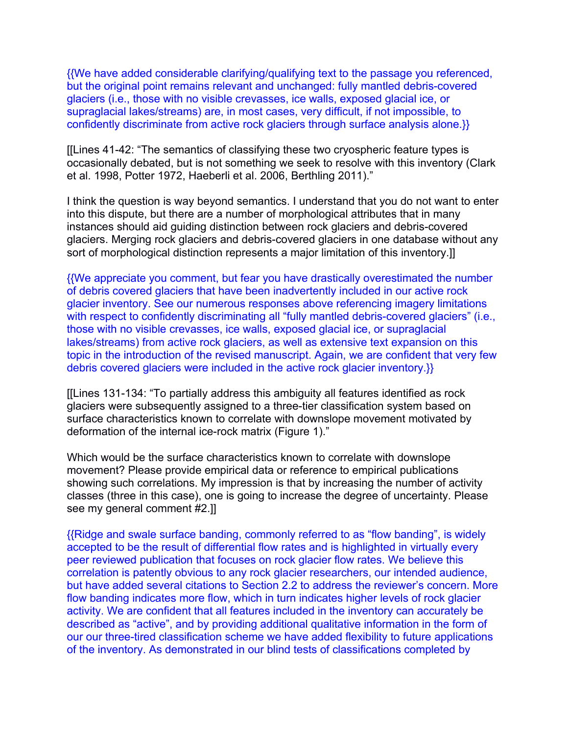{{We have added considerable clarifying/qualifying text to the passage you referenced, but the original point remains relevant and unchanged: fully mantled debris-covered glaciers (i.e., those with no visible crevasses, ice walls, exposed glacial ice, or supraglacial lakes/streams) are, in most cases, very difficult, if not impossible, to confidently discriminate from active rock glaciers through surface analysis alone.}}

[[Lines 41-42: "The semantics of classifying these two cryospheric feature types is occasionally debated, but is not something we seek to resolve with this inventory (Clark et al. 1998, Potter 1972, Haeberli et al. 2006, Berthling 2011)."

I think the question is way beyond semantics. I understand that you do not want to enter into this dispute, but there are a number of morphological attributes that in many instances should aid guiding distinction between rock glaciers and debris-covered glaciers. Merging rock glaciers and debris-covered glaciers in one database without any sort of morphological distinction represents a major limitation of this inventory.]

{{We appreciate you comment, but fear you have drastically overestimated the number of debris covered glaciers that have been inadvertently included in our active rock glacier inventory. See our numerous responses above referencing imagery limitations with respect to confidently discriminating all "fully mantled debris-covered glaciers" (i.e., those with no visible crevasses, ice walls, exposed glacial ice, or supraglacial lakes/streams) from active rock glaciers, as well as extensive text expansion on this topic in the introduction of the revised manuscript. Again, we are confident that very few debris covered glaciers were included in the active rock glacier inventory.}}

[[Lines 131-134: "To partially address this ambiguity all features identified as rock glaciers were subsequently assigned to a three-tier classification system based on surface characteristics known to correlate with downslope movement motivated by deformation of the internal ice-rock matrix (Figure 1)."

Which would be the surface characteristics known to correlate with downslope movement? Please provide empirical data or reference to empirical publications showing such correlations. My impression is that by increasing the number of activity classes (three in this case), one is going to increase the degree of uncertainty. Please see my general comment #2.]]

{{Ridge and swale surface banding, commonly referred to as "flow banding", is widely accepted to be the result of differential flow rates and is highlighted in virtually every peer reviewed publication that focuses on rock glacier flow rates. We believe this correlation is patently obvious to any rock glacier researchers, our intended audience, but have added several citations to Section 2.2 to address the reviewer's concern. More flow banding indicates more flow, which in turn indicates higher levels of rock glacier activity. We are confident that all features included in the inventory can accurately be described as "active", and by providing additional qualitative information in the form of our our three-tired classification scheme we have added flexibility to future applications of the inventory. As demonstrated in our blind tests of classifications completed by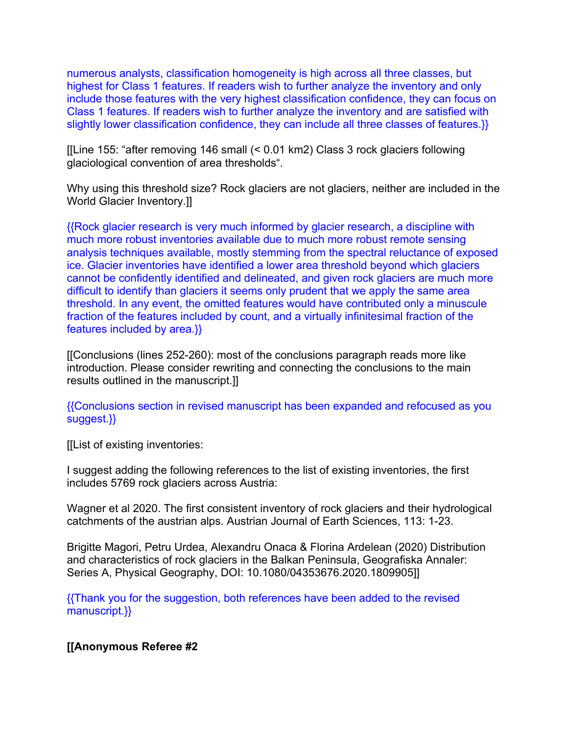numerous analysts, classification homogeneity is high across all three classes, but highest for Class 1 features. If readers wish to further analyze the inventory and only include those features with the very highest classification confidence, they can focus on Class 1 features. If readers wish to further analyze the inventory and are satisfied with slightly lower classification confidence, they can include all three classes of features.}}

[[Line 155: "after removing 146 small (< 0.01 km2) Class 3 rock glaciers following glaciological convention of area thresholds".

Why using this threshold size? Rock glaciers are not glaciers, neither are included in the World Glacier Inventory.]]

{{Rock glacier research is very much informed by glacier research, a discipline with much more robust inventories available due to much more robust remote sensing analysis techniques available, mostly stemming from the spectral reluctance of exposed ice. Glacier inventories have identified a lower area threshold beyond which glaciers cannot be confidently identified and delineated, and given rock glaciers are much more difficult to identify than glaciers it seems only prudent that we apply the same area threshold. In any event, the omitted features would have contributed only a minuscule fraction of the features included by count, and a virtually infinitesimal fraction of the features included by area.}}

[[Conclusions (lines 252-260): most of the conclusions paragraph reads more like introduction. Please consider rewriting and connecting the conclusions to the main results outlined in the manuscript.]]

{{Conclusions section in revised manuscript has been expanded and refocused as you suggest.}}

[[List of existing inventories:

I suggest adding the following references to the list of existing inventories, the first includes 5769 rock glaciers across Austria:

Wagner et al 2020. The first consistent inventory of rock glaciers and their hydrological catchments of the austrian alps. Austrian Journal of Earth Sciences, 113: 1-23.

Brigitte Magori, Petru Urdea, Alexandru Onaca & Florina Ardelean (2020) Distribution and characteristics of rock glaciers in the Balkan Peninsula, Geografiska Annaler: Series A, Physical Geography, DOI: 10.1080/04353676.2020.1809905]]

{{Thank you for the suggestion, both references have been added to the revised manuscript.}}

# **[[Anonymous Referee #2**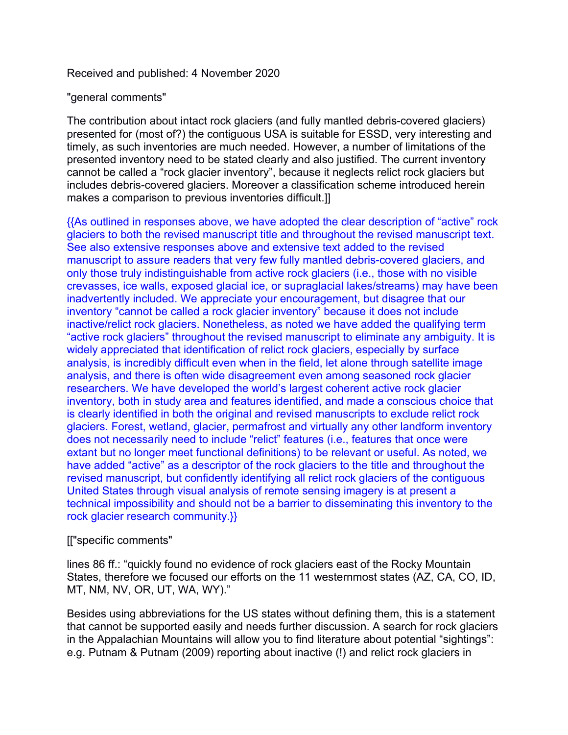## Received and published: 4 November 2020

### "general comments"

The contribution about intact rock glaciers (and fully mantled debris-covered glaciers) presented for (most of?) the contiguous USA is suitable for ESSD, very interesting and timely, as such inventories are much needed. However, a number of limitations of the presented inventory need to be stated clearly and also justified. The current inventory cannot be called a "rock glacier inventory", because it neglects relict rock glaciers but includes debris-covered glaciers. Moreover a classification scheme introduced herein makes a comparison to previous inventories difficult.]]

{{As outlined in responses above, we have adopted the clear description of "active" rock glaciers to both the revised manuscript title and throughout the revised manuscript text. See also extensive responses above and extensive text added to the revised manuscript to assure readers that very few fully mantled debris-covered glaciers, and only those truly indistinguishable from active rock glaciers (i.e., those with no visible crevasses, ice walls, exposed glacial ice, or supraglacial lakes/streams) may have been inadvertently included. We appreciate your encouragement, but disagree that our inventory "cannot be called a rock glacier inventory" because it does not include inactive/relict rock glaciers. Nonetheless, as noted we have added the qualifying term "active rock glaciers" throughout the revised manuscript to eliminate any ambiguity. It is widely appreciated that identification of relict rock glaciers, especially by surface analysis, is incredibly difficult even when in the field, let alone through satellite image analysis, and there is often wide disagreement even among seasoned rock glacier researchers. We have developed the world's largest coherent active rock glacier inventory, both in study area and features identified, and made a conscious choice that is clearly identified in both the original and revised manuscripts to exclude relict rock glaciers. Forest, wetland, glacier, permafrost and virtually any other landform inventory does not necessarily need to include "relict" features (i.e., features that once were extant but no longer meet functional definitions) to be relevant or useful. As noted, we have added "active" as a descriptor of the rock glaciers to the title and throughout the revised manuscript, but confidently identifying all relict rock glaciers of the contiguous United States through visual analysis of remote sensing imagery is at present a technical impossibility and should not be a barrier to disseminating this inventory to the rock glacier research community.}}

# [["specific comments"

lines 86 ff.: "quickly found no evidence of rock glaciers east of the Rocky Mountain States, therefore we focused our efforts on the 11 westernmost states (AZ, CA, CO, ID, MT, NM, NV, OR, UT, WA, WY)."

Besides using abbreviations for the US states without defining them, this is a statement that cannot be supported easily and needs further discussion. A search for rock glaciers in the Appalachian Mountains will allow you to find literature about potential "sightings": e.g. Putnam & Putnam (2009) reporting about inactive (!) and relict rock glaciers in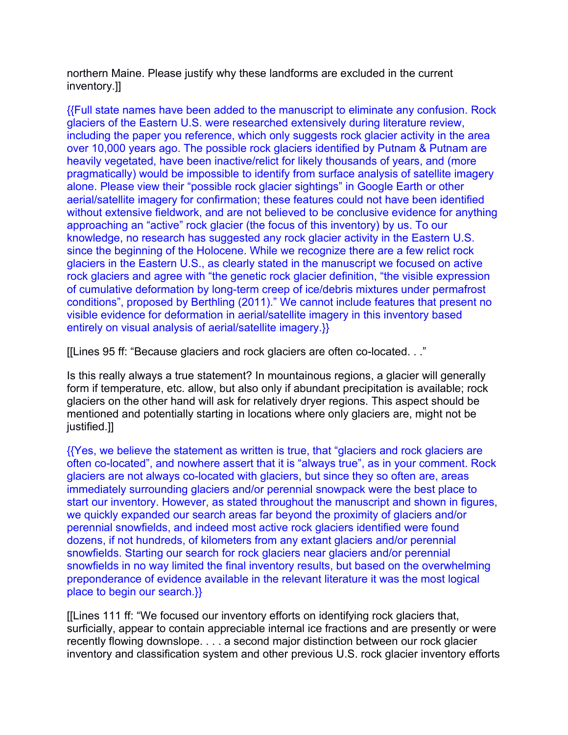northern Maine. Please justify why these landforms are excluded in the current inventory.]]

{{Full state names have been added to the manuscript to eliminate any confusion. Rock glaciers of the Eastern U.S. were researched extensively during literature review, including the paper you reference, which only suggests rock glacier activity in the area over 10,000 years ago. The possible rock glaciers identified by Putnam & Putnam are heavily vegetated, have been inactive/relict for likely thousands of years, and (more pragmatically) would be impossible to identify from surface analysis of satellite imagery alone. Please view their "possible rock glacier sightings" in Google Earth or other aerial/satellite imagery for confirmation; these features could not have been identified without extensive fieldwork, and are not believed to be conclusive evidence for anything approaching an "active" rock glacier (the focus of this inventory) by us. To our knowledge, no research has suggested any rock glacier activity in the Eastern U.S. since the beginning of the Holocene. While we recognize there are a few relict rock glaciers in the Eastern U.S., as clearly stated in the manuscript we focused on active rock glaciers and agree with "the genetic rock glacier definition, "the visible expression of cumulative deformation by long-term creep of ice/debris mixtures under permafrost conditions", proposed by Berthling (2011)." We cannot include features that present no visible evidence for deformation in aerial/satellite imagery in this inventory based entirely on visual analysis of aerial/satellite imagery.}}

[[Lines 95 ff: "Because glaciers and rock glaciers are often co-located. . ."

Is this really always a true statement? In mountainous regions, a glacier will generally form if temperature, etc. allow, but also only if abundant precipitation is available; rock glaciers on the other hand will ask for relatively dryer regions. This aspect should be mentioned and potentially starting in locations where only glaciers are, might not be justified.]]

{{Yes, we believe the statement as written is true, that "glaciers and rock glaciers are often co-located", and nowhere assert that it is "always true", as in your comment. Rock glaciers are not always co-located with glaciers, but since they so often are, areas immediately surrounding glaciers and/or perennial snowpack were the best place to start our inventory. However, as stated throughout the manuscript and shown in figures, we quickly expanded our search areas far beyond the proximity of glaciers and/or perennial snowfields, and indeed most active rock glaciers identified were found dozens, if not hundreds, of kilometers from any extant glaciers and/or perennial snowfields. Starting our search for rock glaciers near glaciers and/or perennial snowfields in no way limited the final inventory results, but based on the overwhelming preponderance of evidence available in the relevant literature it was the most logical place to begin our search.}}

[[Lines 111 ff: "We focused our inventory efforts on identifying rock glaciers that, surficially, appear to contain appreciable internal ice fractions and are presently or were recently flowing downslope. . . . a second major distinction between our rock glacier inventory and classification system and other previous U.S. rock glacier inventory efforts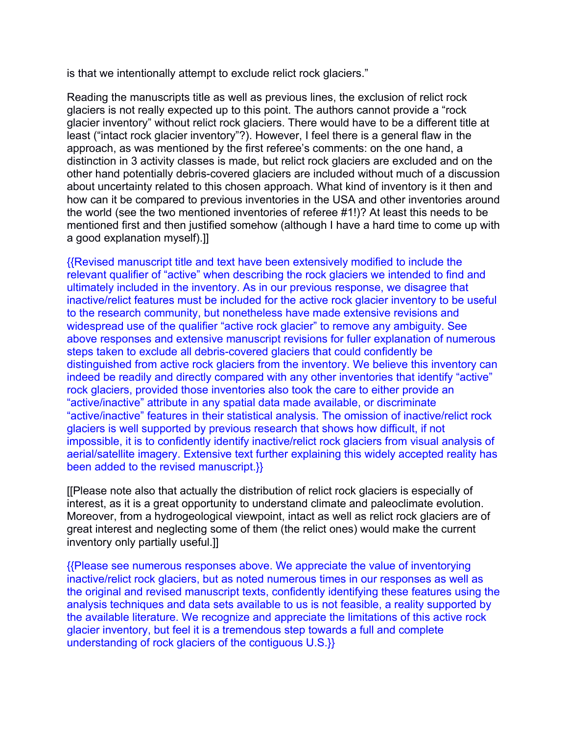is that we intentionally attempt to exclude relict rock glaciers."

Reading the manuscripts title as well as previous lines, the exclusion of relict rock glaciers is not really expected up to this point. The authors cannot provide a "rock glacier inventory" without relict rock glaciers. There would have to be a different title at least ("intact rock glacier inventory"?). However, I feel there is a general flaw in the approach, as was mentioned by the first referee's comments: on the one hand, a distinction in 3 activity classes is made, but relict rock glaciers are excluded and on the other hand potentially debris-covered glaciers are included without much of a discussion about uncertainty related to this chosen approach. What kind of inventory is it then and how can it be compared to previous inventories in the USA and other inventories around the world (see the two mentioned inventories of referee #1!)? At least this needs to be mentioned first and then justified somehow (although I have a hard time to come up with a good explanation myself).]]

{{Revised manuscript title and text have been extensively modified to include the relevant qualifier of "active" when describing the rock glaciers we intended to find and ultimately included in the inventory. As in our previous response, we disagree that inactive/relict features must be included for the active rock glacier inventory to be useful to the research community, but nonetheless have made extensive revisions and widespread use of the qualifier "active rock glacier" to remove any ambiguity. See above responses and extensive manuscript revisions for fuller explanation of numerous steps taken to exclude all debris-covered glaciers that could confidently be distinguished from active rock glaciers from the inventory. We believe this inventory can indeed be readily and directly compared with any other inventories that identify "active" rock glaciers, provided those inventories also took the care to either provide an "active/inactive" attribute in any spatial data made available, or discriminate "active/inactive" features in their statistical analysis. The omission of inactive/relict rock glaciers is well supported by previous research that shows how difficult, if not impossible, it is to confidently identify inactive/relict rock glaciers from visual analysis of aerial/satellite imagery. Extensive text further explaining this widely accepted reality has been added to the revised manuscript.}}

[[Please note also that actually the distribution of relict rock glaciers is especially of interest, as it is a great opportunity to understand climate and paleoclimate evolution. Moreover, from a hydrogeological viewpoint, intact as well as relict rock glaciers are of great interest and neglecting some of them (the relict ones) would make the current inventory only partially useful.]]

{{Please see numerous responses above. We appreciate the value of inventorying inactive/relict rock glaciers, but as noted numerous times in our responses as well as the original and revised manuscript texts, confidently identifying these features using the analysis techniques and data sets available to us is not feasible, a reality supported by the available literature. We recognize and appreciate the limitations of this active rock glacier inventory, but feel it is a tremendous step towards a full and complete understanding of rock glaciers of the contiguous U.S.}}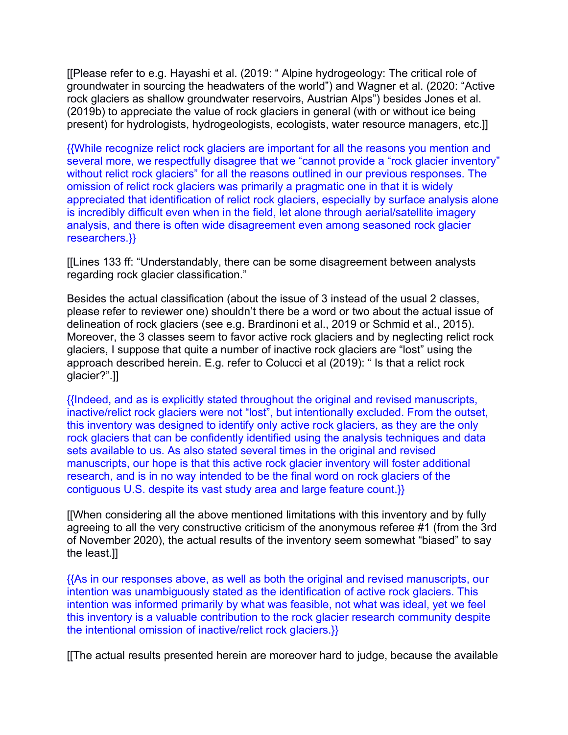[[Please refer to e.g. Hayashi et al. (2019: " Alpine hydrogeology: The critical role of groundwater in sourcing the headwaters of the world") and Wagner et al. (2020: "Active rock glaciers as shallow groundwater reservoirs, Austrian Alps") besides Jones et al. (2019b) to appreciate the value of rock glaciers in general (with or without ice being present) for hydrologists, hydrogeologists, ecologists, water resource managers, etc.]]

{{While recognize relict rock glaciers are important for all the reasons you mention and several more, we respectfully disagree that we "cannot provide a "rock glacier inventory" without relict rock glaciers" for all the reasons outlined in our previous responses. The omission of relict rock glaciers was primarily a pragmatic one in that it is widely appreciated that identification of relict rock glaciers, especially by surface analysis alone is incredibly difficult even when in the field, let alone through aerial/satellite imagery analysis, and there is often wide disagreement even among seasoned rock glacier researchers.}}

[[Lines 133 ff: "Understandably, there can be some disagreement between analysts regarding rock glacier classification."

Besides the actual classification (about the issue of 3 instead of the usual 2 classes, please refer to reviewer one) shouldn't there be a word or two about the actual issue of delineation of rock glaciers (see e.g. Brardinoni et al., 2019 or Schmid et al., 2015). Moreover, the 3 classes seem to favor active rock glaciers and by neglecting relict rock glaciers, I suppose that quite a number of inactive rock glaciers are "lost" using the approach described herein. E.g. refer to Colucci et al (2019): " Is that a relict rock glacier?".]]

{{Indeed, and as is explicitly stated throughout the original and revised manuscripts, inactive/relict rock glaciers were not "lost", but intentionally excluded. From the outset, this inventory was designed to identify only active rock glaciers, as they are the only rock glaciers that can be confidently identified using the analysis techniques and data sets available to us. As also stated several times in the original and revised manuscripts, our hope is that this active rock glacier inventory will foster additional research, and is in no way intended to be the final word on rock glaciers of the contiguous U.S. despite its vast study area and large feature count.}}

[[When considering all the above mentioned limitations with this inventory and by fully agreeing to all the very constructive criticism of the anonymous referee #1 (from the 3rd of November 2020), the actual results of the inventory seem somewhat "biased" to say the least.]]

{{As in our responses above, as well as both the original and revised manuscripts, our intention was unambiguously stated as the identification of active rock glaciers. This intention was informed primarily by what was feasible, not what was ideal, yet we feel this inventory is a valuable contribution to the rock glacier research community despite the intentional omission of inactive/relict rock glaciers.}}

[[The actual results presented herein are moreover hard to judge, because the available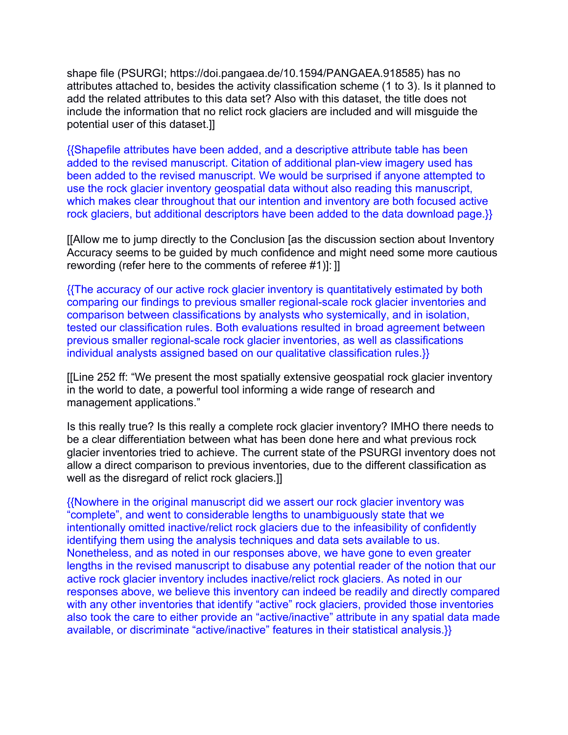shape file (PSURGI; https://doi.pangaea.de/10.1594/PANGAEA.918585) has no attributes attached to, besides the activity classification scheme (1 to 3). Is it planned to add the related attributes to this data set? Also with this dataset, the title does not include the information that no relict rock glaciers are included and will misguide the potential user of this dataset.]]

{{Shapefile attributes have been added, and a descriptive attribute table has been added to the revised manuscript. Citation of additional plan-view imagery used has been added to the revised manuscript. We would be surprised if anyone attempted to use the rock glacier inventory geospatial data without also reading this manuscript, which makes clear throughout that our intention and inventory are both focused active rock glaciers, but additional descriptors have been added to the data download page.}}

[[Allow me to jump directly to the Conclusion [as the discussion section about Inventory Accuracy seems to be guided by much confidence and might need some more cautious rewording (refer here to the comments of referee #1)]: ]]

{{The accuracy of our active rock glacier inventory is quantitatively estimated by both comparing our findings to previous smaller regional-scale rock glacier inventories and comparison between classifications by analysts who systemically, and in isolation, tested our classification rules. Both evaluations resulted in broad agreement between previous smaller regional-scale rock glacier inventories, as well as classifications individual analysts assigned based on our qualitative classification rules.}}

[[Line 252 ff: "We present the most spatially extensive geospatial rock glacier inventory in the world to date, a powerful tool informing a wide range of research and management applications."

Is this really true? Is this really a complete rock glacier inventory? IMHO there needs to be a clear differentiation between what has been done here and what previous rock glacier inventories tried to achieve. The current state of the PSURGI inventory does not allow a direct comparison to previous inventories, due to the different classification as well as the disregard of relict rock glaciers.]]

{{Nowhere in the original manuscript did we assert our rock glacier inventory was "complete", and went to considerable lengths to unambiguously state that we intentionally omitted inactive/relict rock glaciers due to the infeasibility of confidently identifying them using the analysis techniques and data sets available to us. Nonetheless, and as noted in our responses above, we have gone to even greater lengths in the revised manuscript to disabuse any potential reader of the notion that our active rock glacier inventory includes inactive/relict rock glaciers. As noted in our responses above, we believe this inventory can indeed be readily and directly compared with any other inventories that identify "active" rock glaciers, provided those inventories also took the care to either provide an "active/inactive" attribute in any spatial data made available, or discriminate "active/inactive" features in their statistical analysis.}}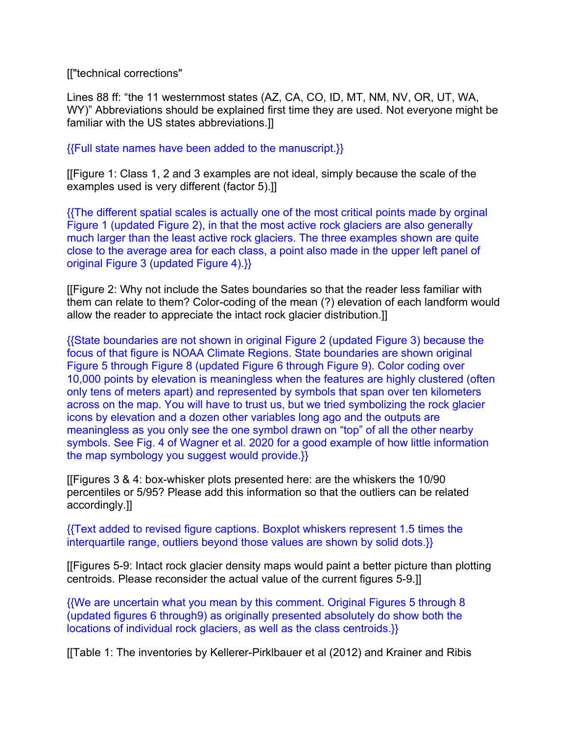[["technical corrections"

Lines 88 ff: "the 11 westernmost states (AZ, CA, CO, ID, MT, NM, NV, OR, UT, WA, WY)" Abbreviations should be explained first time they are used. Not everyone might be familiar with the US states abbreviations.]]

{{Full state names have been added to the manuscript.}}

[[Figure 1: Class 1, 2 and 3 examples are not ideal, simply because the scale of the examples used is very different (factor 5).]]

{{The different spatial scales is actually one of the most critical points made by orginal Figure 1 (updated Figure 2), in that the most active rock glaciers are also generally much larger than the least active rock glaciers. The three examples shown are quite close to the average area for each class, a point also made in the upper left panel of original Figure 3 (updated Figure 4).}}

[[Figure 2: Why not include the Sates boundaries so that the reader less familiar with them can relate to them? Color-coding of the mean (?) elevation of each landform would allow the reader to appreciate the intact rock glacier distribution.]]

{{State boundaries are not shown in original Figure 2 (updated Figure 3) because the focus of that figure is NOAA Climate Regions. State boundaries are shown original Figure 5 through Figure 8 (updated Figure 6 through Figure 9). Color coding over 10,000 points by elevation is meaningless when the features are highly clustered (often only tens of meters apart) and represented by symbols that span over ten kilometers across on the map. You will have to trust us, but we tried symbolizing the rock glacier icons by elevation and a dozen other variables long ago and the outputs are meaningless as you only see the one symbol drawn on "top" of all the other nearby symbols. See Fig. 4 of Wagner et al. 2020 for a good example of how little information the map symbology you suggest would provide.}}

[[Figures 3 & 4: box-whisker plots presented here: are the whiskers the 10/90 percentiles or 5/95? Please add this information so that the outliers can be related accordingly.]]

{{Text added to revised figure captions. Boxplot whiskers represent 1.5 times the interquartile range, outliers beyond those values are shown by solid dots.}}

[[Figures 5-9: Intact rock glacier density maps would paint a better picture than plotting centroids. Please reconsider the actual value of the current figures 5-9.]]

{{We are uncertain what you mean by this comment. Original Figures 5 through 8 (updated figures 6 through9) as originally presented absolutely do show both the locations of individual rock glaciers, as well as the class centroids.}}

[[Table 1: The inventories by Kellerer-Pirklbauer et al (2012) and Krainer and Ribis